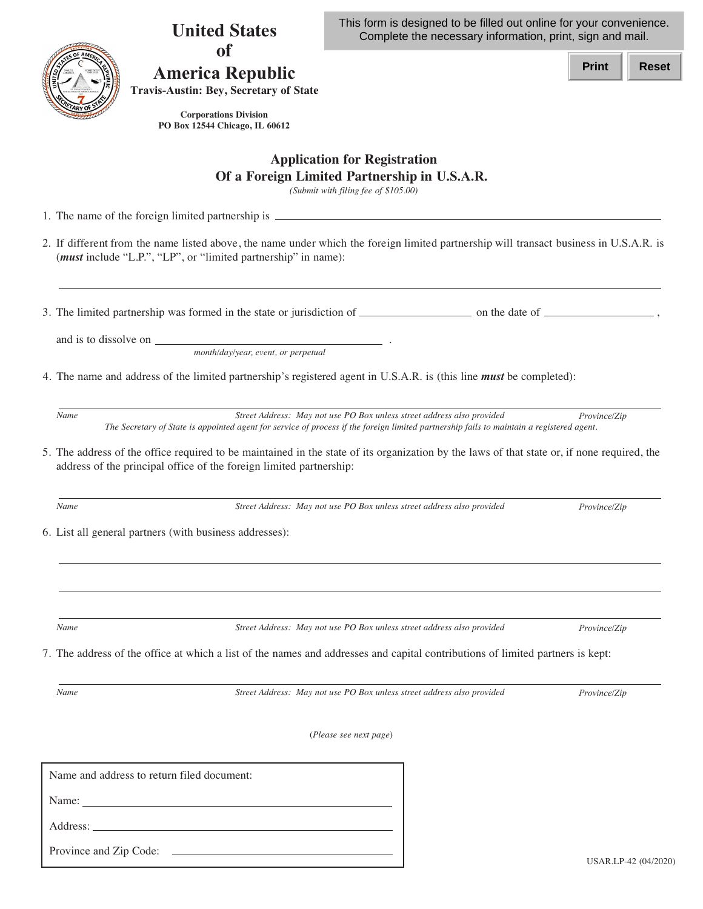**United States America Republic** This form is designed to be filled out online for your convenience. Complete the necessary information, print, sign and mail.

**Print Reset**

**Travis-Austin: Bey, Secretary of State** 

**of**

**Corporations Division PO Box 12544 Chicago, IL 60612**

## **Application for Registration Of a Foreign Limited Partnership in U.S.A.R.**

*(Submit with filing fee of \$105.00)*

1. The name of the foreign limited partnership is

2. If different from the name listed above, the name under which the foreign limited partnership will transact business in U.S.A.R. is (*must* include "L.P.", "LP", or "limited partnership" in name):

3. The limited partnership was formed in the state or jurisdiction of  $\frac{1}{\sqrt{1-\frac{1}{n}}}\$  on the date of  $\frac{1}{\sqrt{1-\frac{1}{n}}}\$ 

and is to dissolve on .

*month/day/year, event, or perpetual*

4. The name and address of the limited partnership's registered agent in U.S.A.R. is (this line *must* be completed):

*Name Street Address: May not use PO Box unless street address also provided Province/Zip The Secretary of State is appointed agent for service of process if the foreign limited partnership fails to maintain a registered agent.*

5. The address of the office required to be maintained in the state of its organization by the laws of that state or, if none required, the address of the principal office of the foreign limited partnership:

*Name Street Address: May not use PO Box unless street address also provided Province/Zip*

6. List all general partners (with business addresses):

*Name Street Address: May not use PO Box unless street address also provided Province/Zip*

7. The address of the office at which a list of the names and addresses and capital contributions of limited partners is kept:

*Name Street Address: May not use PO Box unless street address also provided Province/Zip*

(*Please see next page*)

| Name and address to return filed document: |
|--------------------------------------------|
| Name: $\qquad \qquad$                      |
| Address:                                   |
| Province and Zip Code:                     |